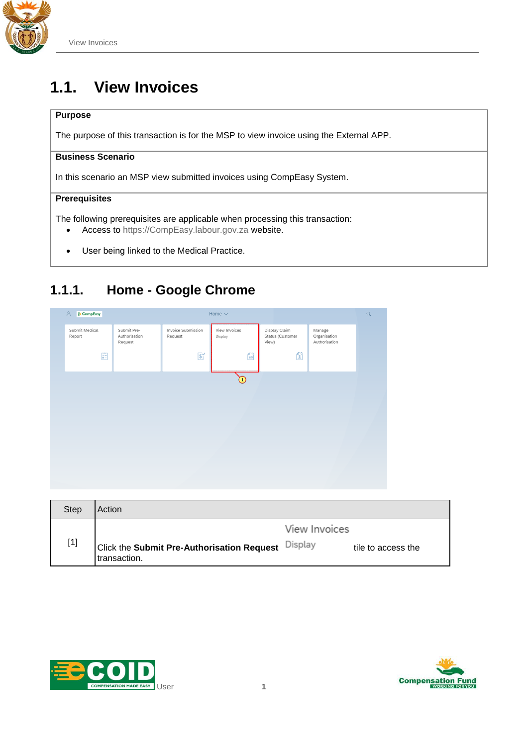

# **1.1. View Invoices**

#### **Purpose**

The purpose of this transaction is for the MSP to view invoice using the External APP.

#### **Business Scenario**

In this scenario an MSP view submitted invoices using CompEasy System.

#### **Prerequisites**

The following prerequisites are applicable when processing this transaction:

- Access to [https://CompEasy.labour.gov.za](https://protect-za.mimecast.com/s/83g1Cpgn8yIpGzG4cPt5ou) website.
- User being linked to the Medical Practice.

#### **1.1.1. Home - Google Chrome**



| <b>Step</b> | Action                                                             |               |                    |
|-------------|--------------------------------------------------------------------|---------------|--------------------|
| $[1]$       | Click the Submit Pre-Authorisation Request Display<br>transaction. | View Invoices | tile to access the |



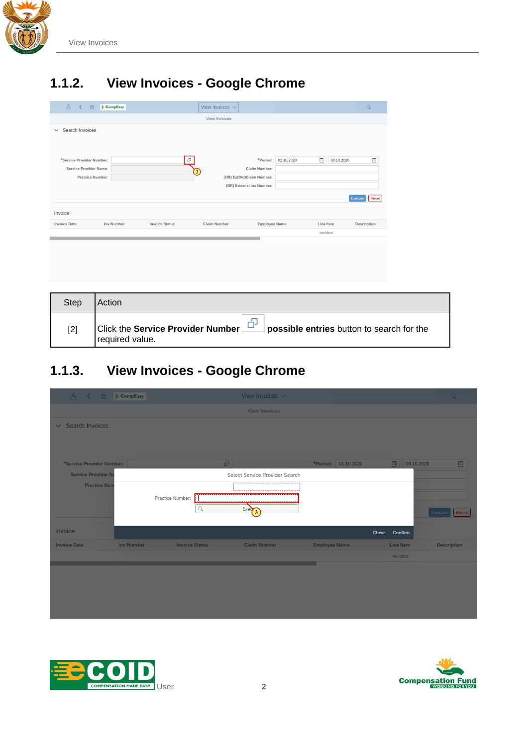

## **1.1.2. View Invoices - Google Chrome**

| 8 <sup>o</sup><br>$\left\langle \right\rangle$      | 命<br><b>CompEasy</b> |                       | View Invoices $\vee$ |                                                                                     |            |                 | $\alpha$              |
|-----------------------------------------------------|----------------------|-----------------------|----------------------|-------------------------------------------------------------------------------------|------------|-----------------|-----------------------|
|                                                     |                      |                       | View Invoices        |                                                                                     |            |                 |                       |
| Search Invoices<br>$\checkmark$                     |                      |                       |                      |                                                                                     |            |                 |                       |
| *Service Provider Number:<br>Service Provider Name: | Practice Number:     | ð                     | $\overline{c}$       | *Period:<br>Claim Number:<br>(OR) Ex(Old)Claim Number:<br>(OR) External Inv Number: | 01.10.2020 | m<br>08.10.2020 | E<br>Reset<br>Execute |
| Invoice                                             |                      |                       |                      |                                                                                     |            |                 |                       |
| <b>Invoice Date</b>                                 | <b>Inv Number</b>    | <b>Invoice Status</b> | Claim Number         | <b>Employee Name</b>                                                                |            | Line Item       | Description           |
|                                                     |                      |                       |                      |                                                                                     |            | no data         |                       |
|                                                     |                      |                       |                      |                                                                                     |            |                 |                       |
|                                                     |                      |                       |                      |                                                                                     |            |                 |                       |

| Step | Action                                                                                            |
|------|---------------------------------------------------------------------------------------------------|
| [2]  | Click the Service Provider Number<br>possible entries button to search for the<br>required value. |

## **1.1.3. View Invoices - Google Chrome**

| 8 く 命 ※CompEasy            |                   |                       | View Invoices $\sim$           |                      |                  | $\alpha$             |
|----------------------------|-------------------|-----------------------|--------------------------------|----------------------|------------------|----------------------|
|                            |                   |                       | <b>View Invoices</b>           |                      |                  |                      |
| $\vee$ Search Invoices     |                   |                       |                                |                      |                  |                      |
|                            |                   |                       |                                |                      |                  |                      |
|                            |                   |                       |                                |                      |                  |                      |
| *Service Provider Number:  |                   |                       | G.                             | *Period: 01.10.2020  | 圖                | 圖<br>08.10.2020      |
| <b>Service Provider Na</b> |                   |                       | Select Service Provider Search |                      |                  |                      |
| <b>Practice Num</b>        |                   |                       |                                |                      |                  |                      |
|                            |                   | Practice Number:      |                                |                      |                  |                      |
|                            |                   | $\alpha$              |                                |                      |                  |                      |
|                            |                   |                       | $Exe\overline{3}$              |                      |                  | Execute <b>Reset</b> |
| Invoice                    |                   |                       |                                |                      | Close Confirm    |                      |
| <b>Invoice Date</b>        | <b>Inv Number</b> | <b>Invoice Status</b> | <b>Claim Number</b>            | <b>Employee Name</b> | <b>Line Item</b> | <b>Description</b>   |
|                            |                   |                       |                                |                      | no data          |                      |
|                            |                   |                       |                                |                      |                  |                      |
|                            |                   |                       |                                |                      |                  |                      |
|                            |                   |                       |                                |                      |                  |                      |
|                            |                   |                       |                                |                      |                  |                      |
|                            |                   |                       |                                |                      |                  |                      |
|                            |                   |                       |                                |                      |                  |                      |



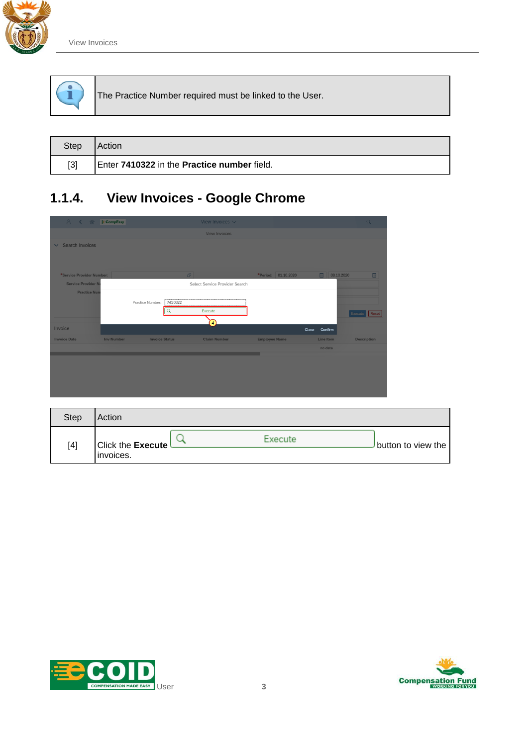

|  | The Practice Number required must be linked to the User. |
|--|----------------------------------------------------------|
|  |                                                          |

| Step  | Action                                      |
|-------|---------------------------------------------|
| $[3]$ | Enter 7410322 in the Practice number field. |

# **1.1.4. View Invoices - Google Chrome**

| 8 く 侖 ※CompEasy           |                   |                       |         | View Invoices $\vee$           |                      |       |                 | $\alpha$           |   |
|---------------------------|-------------------|-----------------------|---------|--------------------------------|----------------------|-------|-----------------|--------------------|---|
|                           |                   |                       |         | <b>View Invoices</b>           |                      |       |                 |                    |   |
| $\vee$ Search Invoices    |                   |                       |         |                                |                      |       |                 |                    |   |
|                           |                   |                       |         |                                |                      |       |                 |                    |   |
|                           |                   |                       |         |                                |                      |       |                 |                    |   |
| *Service Provider Number: |                   |                       |         | ď.                             | *Period: 01.10.2020  |       | 圖<br>08.10.2020 |                    | 圖 |
| <b>Service Provider N</b> |                   |                       |         | Select Service Provider Search |                      |       |                 |                    |   |
| <b>Practice Num</b>       |                   |                       |         |                                |                      |       |                 |                    |   |
|                           |                   | Practice Number:      | 7410322 |                                |                      |       |                 |                    |   |
|                           |                   |                       |         | Execute                        |                      |       |                 | Execute   Reset    |   |
|                           |                   |                       |         | $\mathbb{F}$                   |                      |       |                 |                    |   |
| Invoice                   |                   |                       |         |                                |                      | Close | Confirm         |                    |   |
| <b>Invoice Date</b>       | <b>Inv Number</b> | <b>Invoice Status</b> |         | <b>Claim Number</b>            | <b>Employee Name</b> |       | Line Item       | <b>Description</b> |   |
|                           |                   |                       |         |                                |                      |       | no data         |                    |   |
|                           |                   |                       |         |                                |                      |       |                 |                    |   |
|                           |                   |                       |         |                                |                      |       |                 |                    |   |
|                           |                   |                       |         |                                |                      |       |                 |                    |   |
|                           |                   |                       |         |                                |                      |       |                 |                    |   |
|                           |                   |                       |         |                                |                      |       |                 |                    |   |

| Step | Action                   |         |                    |
|------|--------------------------|---------|--------------------|
| [4]  | <b>Click the Execute</b> | Execute | button to view the |
|      | invoices.                |         |                    |



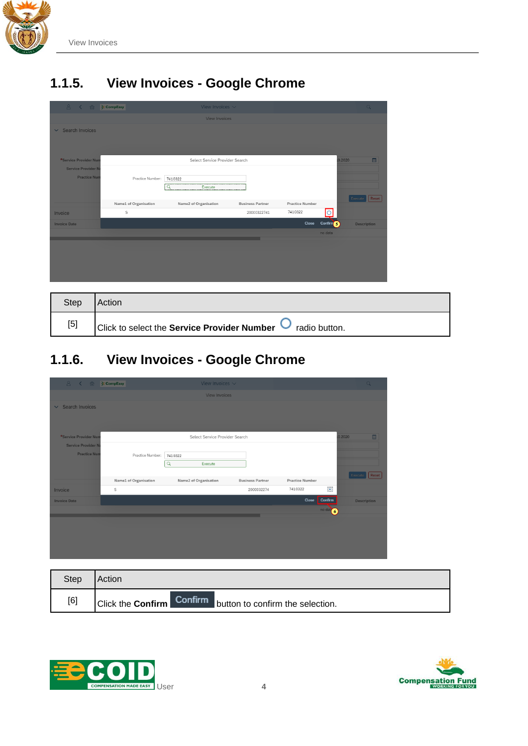

## **1.1.5. View Invoices - Google Chrome**

| 8 く 命 ※CompEasy            |                       | View Invoices $\sim$           |                         |                               | $\alpha$           |
|----------------------------|-----------------------|--------------------------------|-------------------------|-------------------------------|--------------------|
|                            |                       | <b>View Invoices</b>           |                         |                               |                    |
| $\vee$ Search Invoices     |                       |                                |                         |                               |                    |
|                            |                       |                                |                         |                               |                    |
|                            |                       |                                |                         |                               |                    |
| *Service Provider Num      |                       | Select Service Provider Search |                         |                               | 圖<br>0.2020        |
| <b>Service Provider Na</b> |                       |                                |                         |                               |                    |
| <b>Practice Nun</b>        | Practice Number:      | 7410322                        |                         |                               |                    |
|                            |                       | Q<br>Execute                   |                         |                               |                    |
|                            | Name1 of Organisation | Name2 of Organisation          | <b>Business Partner</b> | <b>Practice Number</b>        | Execute   Reset    |
| Invoice                    | $\mathsf S$           |                                | 20000322741             | 7410322<br>$\circ$            |                    |
| <b>Invoice Date</b>        |                       |                                |                         | Close<br>Confirm <sup>6</sup> | <b>Description</b> |
|                            |                       |                                |                         | no data                       |                    |
|                            |                       |                                |                         |                               |                    |
|                            |                       |                                |                         |                               |                    |
|                            |                       |                                |                         |                               |                    |
|                            |                       |                                |                         |                               |                    |

| <b>Step</b> | Action                                                                             |
|-------------|------------------------------------------------------------------------------------|
| [5]         | $\vert$ Click to select the <b>Service Provider Number</b> $\bullet$ radio button. |

## **1.1.6. View Invoices - Google Chrome**

| 8 く 命 ※CompEasy           |                       | View Invoices $\vee$           |                         |                        |                                                              | Q                  |
|---------------------------|-----------------------|--------------------------------|-------------------------|------------------------|--------------------------------------------------------------|--------------------|
|                           |                       | <b>View Invoices</b>           |                         |                        |                                                              |                    |
| $\vee$ Search Invoices    |                       |                                |                         |                        |                                                              |                    |
|                           |                       |                                |                         |                        |                                                              |                    |
|                           |                       |                                |                         |                        |                                                              |                    |
| *Service Provider Nun     |                       | Select Service Provider Search |                         |                        | 0.2020                                                       | 圖                  |
| <b>Service Provider N</b> |                       |                                |                         |                        |                                                              |                    |
| <b>Practice Nun</b>       | Practice Number:      | 7410322                        |                         |                        |                                                              |                    |
|                           |                       | $\alpha$<br>Execute            |                         |                        |                                                              |                    |
|                           | Name1 of Organisation | Name2 of Organisation          | <b>Business Partner</b> | <b>Practice Number</b> |                                                              | Execute   Reset    |
| Invoice                   | S                     |                                | 2000032274              | 7410322                | $\odot$                                                      |                    |
| <b>Invoice Date</b>       |                       |                                |                         | Close                  | Confirm                                                      | <b>Description</b> |
|                           |                       |                                |                         |                        | $\overline{\phantom{aa}}$ no dat $\overline{\phantom{aa}}$ 6 |                    |
|                           |                       |                                |                         |                        |                                                              |                    |
|                           |                       |                                |                         |                        |                                                              |                    |
|                           |                       |                                |                         |                        |                                                              |                    |
|                           |                       |                                |                         |                        |                                                              |                    |

| <b>Step</b> | Action                                                            |
|-------------|-------------------------------------------------------------------|
| [6]         | Click the <b>Confirm</b> Confirm button to confirm the selection. |



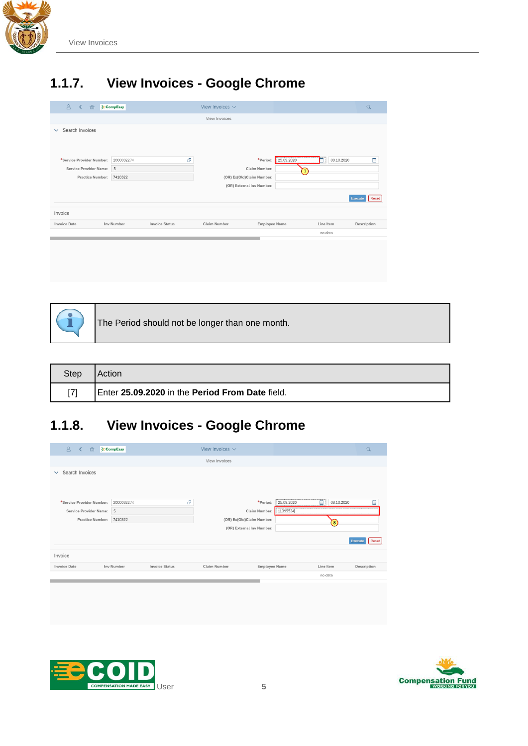

# **1.1.7. View Invoices - Google Chrome**

| 8<br>命<br>$\prec$               | <b>CompEasy</b> |                       | View Invoices $\vee$      |                           |            |                 | $\alpha$         |  |  |
|---------------------------------|-----------------|-----------------------|---------------------------|---------------------------|------------|-----------------|------------------|--|--|
|                                 |                 |                       | View Invoices             |                           |            |                 |                  |  |  |
| Search Invoices<br>$\checkmark$ |                 |                       |                           |                           |            |                 |                  |  |  |
| *Service Provider Number:       | 2000032274      | æ                     |                           | *Period:                  | 25.09.2020 | E<br>08.10.2020 |                  |  |  |
| Service Provider Name:          | S               |                       |                           | Claim Number:             |            |                 | E                |  |  |
|                                 |                 |                       |                           |                           | 7          |                 |                  |  |  |
| Practice Number:                | 7410322         |                       | (OR) Ex(Old)Claim Number: |                           |            |                 |                  |  |  |
|                                 |                 |                       |                           | (OR) External Inv Number: |            |                 |                  |  |  |
|                                 |                 |                       |                           |                           |            |                 | Reset<br>Execute |  |  |
| Invoice                         |                 |                       |                           |                           |            |                 |                  |  |  |
| <b>Invoice Date</b>             | Inv Number      | <b>Invoice Status</b> | Claim Number              | <b>Employee Name</b>      |            | Line Item       | Description      |  |  |
|                                 |                 |                       |                           |                           |            | no data         |                  |  |  |
|                                 |                 |                       |                           |                           |            |                 |                  |  |  |
|                                 |                 |                       |                           |                           |            |                 |                  |  |  |
|                                 |                 |                       |                           |                           |            |                 |                  |  |  |



The Period should not be longer than one month.

| Step | Action                                          |
|------|-------------------------------------------------|
| [7]  | Enter 25.09.2020 in the Period From Date field. |

#### **1.1.8. View Invoices - Google Chrome**

| 8 <sup>o</sup><br>命<br>$\overline{\left( \right. }%$ | <b>CompEasy</b> |                       | View Invoices $\vee$      |                        |                  | Q                |
|------------------------------------------------------|-----------------|-----------------------|---------------------------|------------------------|------------------|------------------|
|                                                      |                 |                       | View Invoices             |                        |                  |                  |
| Search Invoices<br>$\checkmark$                      |                 |                       |                           |                        |                  |                  |
| *Service Provider Number:                            | 2000032274      | æ                     |                           | *Period:<br>25.09.2020 | 画<br>08.10.2020  | œ                |
| Service Provider Name:                               | <b>S</b>        |                       | Claim Number:             | 11395534               |                  |                  |
| Practice Number:                                     | 7410322         |                       | (OR) Ex(Old)Claim Number: |                        | $\left  \right $ |                  |
|                                                      |                 |                       | (OR) External Inv Number: |                        |                  |                  |
|                                                      |                 |                       |                           |                        |                  | Reset<br>Execute |
| Invoice                                              |                 |                       |                           |                        |                  |                  |
| <b>Invoice Date</b>                                  | Inv Number      | <b>Invoice Status</b> | Claim Number              | <b>Employee Name</b>   | Line Item        | Description      |
|                                                      |                 |                       |                           |                        | no data          |                  |
|                                                      |                 |                       |                           |                        |                  |                  |



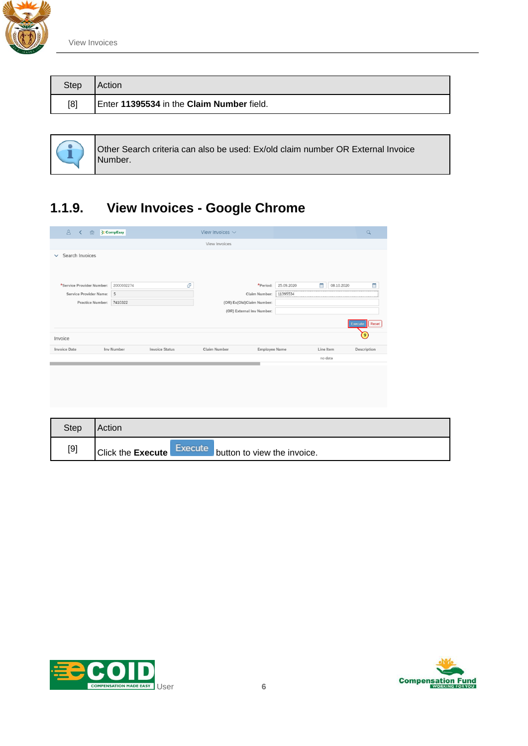

| <b>Step</b> | <b>Action</b>                             |
|-------------|-------------------------------------------|
| [8]         | Enter 11395534 in the Claim Number field. |



Other Search criteria can also be used: Ex/old claim number OR External Invoice Number.

## **1.1.9. View Invoices - Google Chrome**

| <b>CompEasy</b>                            |   | View Invoices $\vee$      |          |                                            |                      | $\alpha$   |                      |  |  |
|--------------------------------------------|---|---------------------------|----------|--------------------------------------------|----------------------|------------|----------------------|--|--|
|                                            |   | View Invoices             |          |                                            |                      |            |                      |  |  |
| Search Invoices<br>$\checkmark$            |   |                           |          |                                            |                      |            |                      |  |  |
|                                            |   |                           |          |                                            |                      |            |                      |  |  |
|                                            |   |                           |          |                                            |                      |            |                      |  |  |
| 2000032274                                 | æ |                           | *Period: | 25.09.2020                                 | 曲                    | 08.10.2020 | E                    |  |  |
| S                                          |   |                           |          | 11395534                                   |                      |            |                      |  |  |
| Practice Number:<br>7410322                |   | (OR) Ex(Old)Claim Number: |          |                                            |                      |            |                      |  |  |
|                                            |   |                           |          |                                            |                      |            |                      |  |  |
|                                            |   |                           |          |                                            |                      |            | Execute <b>Reset</b> |  |  |
|                                            |   |                           |          |                                            |                      |            | $\left( 9\right)$    |  |  |
| <b>Inv Number</b><br><b>Invoice Status</b> |   | Claim Number              |          |                                            |                      |            | Description          |  |  |
|                                            |   |                           |          |                                            |                      |            |                      |  |  |
|                                            |   |                           |          |                                            |                      |            |                      |  |  |
|                                            |   |                           |          |                                            |                      |            |                      |  |  |
|                                            |   |                           |          |                                            |                      |            |                      |  |  |
|                                            |   |                           |          | Claim Number:<br>(OR) External Inv Number: | <b>Employee Name</b> |            | Line Item<br>no data |  |  |

| <b>Step</b> | Action                                                             |
|-------------|--------------------------------------------------------------------|
| $[9]$       | Execute<br><b>Click the Execute</b><br>button to view the invoice. |



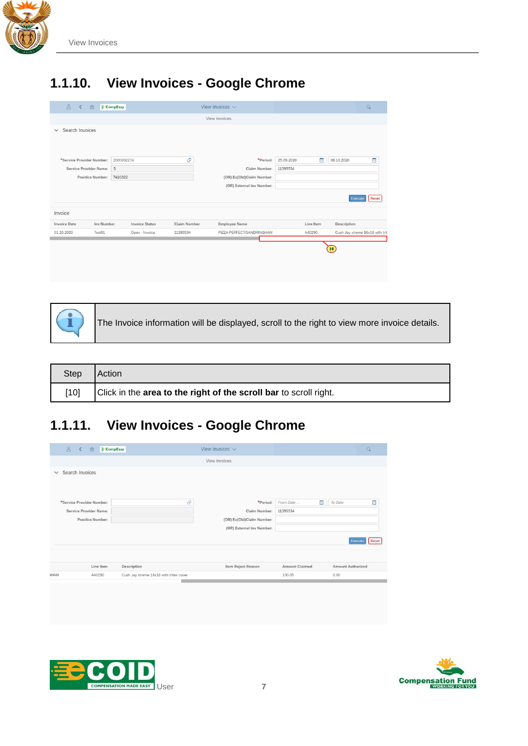

#### **1.1.10. View Invoices - Google Chrome**

| 8 <sup>o</sup><br>$\left\langle \right\rangle$ | 命                           | <b>CompEasy</b> |                       |              |                           | View Invoices $\vee$      |            |           |                               | $\alpha$                        |
|------------------------------------------------|-----------------------------|-----------------|-----------------------|--------------|---------------------------|---------------------------|------------|-----------|-------------------------------|---------------------------------|
|                                                |                             |                 |                       |              |                           | View Invoices             |            |           |                               |                                 |
| Search Invoices<br>$\checkmark$                |                             |                 |                       |              |                           |                           |            |           |                               |                                 |
|                                                |                             |                 |                       |              |                           |                           |            |           |                               |                                 |
|                                                |                             |                 |                       |              |                           |                           |            |           |                               |                                 |
| *Service Provider Number:                      |                             | 2000032274      |                       | æ            |                           | *Period:                  | 25.09.2020 | m         | 08.10.2020                    | E                               |
| Service Provider Name:                         |                             | S               |                       |              |                           | Claim Number:             | 11395534   |           |                               |                                 |
|                                                | Practice Number:<br>7410322 |                 |                       |              | (OR) Ex(Old)Claim Number: |                           |            |           |                               |                                 |
|                                                |                             |                 |                       |              |                           | (OR) External Inv Number: |            |           |                               |                                 |
|                                                |                             |                 |                       |              |                           |                           |            |           |                               | Reset<br>Execute                |
| Invoice                                        |                             |                 |                       |              |                           |                           |            |           |                               |                                 |
| <b>Invoice Date</b>                            | Inv Number                  |                 | <b>Invoice Status</b> | Claim Number |                           | <b>Employee Name</b>      |            | Line Item | Description                   |                                 |
| 01.10.2020                                     | Test01                      |                 | Open - Invoice        | 11395534     |                           | PIZZA PERFECT/SANDRINGHAM |            | A40290    |                               | Cush Jay xtreme 16x16 with trit |
|                                                |                             |                 |                       |              |                           |                           |            |           |                               |                                 |
|                                                |                             |                 |                       |              |                           |                           |            |           | $\left( \overline{10}\right)$ |                                 |
|                                                |                             |                 |                       |              |                           |                           |            |           |                               |                                 |
|                                                |                             |                 |                       |              |                           |                           |            |           |                               |                                 |



The Invoice information will be displayed, scroll to the right to view more invoice details.

| Step | Action                                                            |
|------|-------------------------------------------------------------------|
| 101  | Click in the area to the right of the scroll bar to scroll right. |

## **1.1.11. View Invoices - Google Chrome**

| 8 <sup>1</sup><br><b>CompEasy</b><br>命<br>$\prec$ |                                         | View Invoices $\vee$      |                       | $\alpha$                 |
|---------------------------------------------------|-----------------------------------------|---------------------------|-----------------------|--------------------------|
|                                                   |                                         | View Invoices             |                       |                          |
| Search Invoices<br>$\checkmark$                   |                                         |                           |                       |                          |
| *Service Provider Number:                         | æ                                       | *Period:                  | 曲<br>From Date        | œ<br>To Date             |
| Service Provider Name:                            |                                         | Claim Number:             | 11395534              |                          |
| Practice Number:                                  |                                         | (OR) Ex(Old)Claim Number: |                       |                          |
|                                                   |                                         | (OR) External Inv Number: |                       |                          |
|                                                   |                                         |                           |                       | Reset<br>Execute         |
| Line Item                                         | Description                             | Item Reject Reason        | <b>Amount Claimed</b> | <b>Amount Authorized</b> |
| <b>HAM</b><br>A40290                              | Cush Jay xtreme 16x16 with tritex cover |                           | 100.05                | 0.00                     |
|                                                   |                                         |                           |                       |                          |